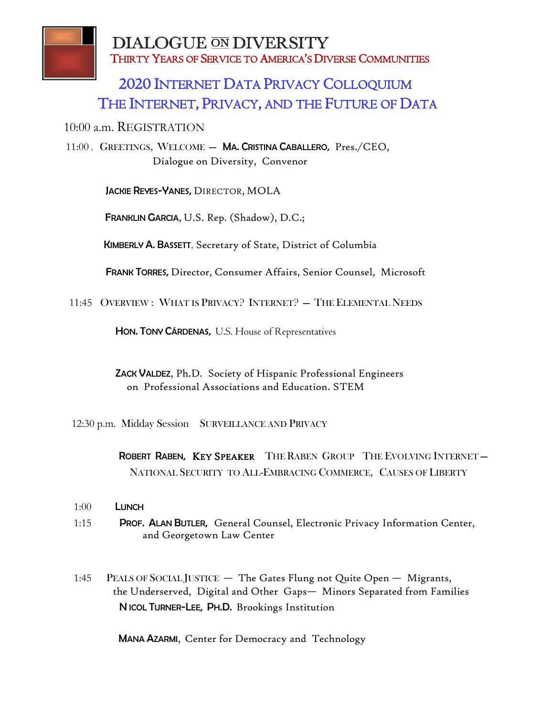

**DIALOGUE ON DIVERSITY** THIRTY YEARS OF SERVICE TO AMERICA'S DIVERSE COMMUNITIES

## 2020 INTERNET DATA PRIVACY COLLOQUIUM THE INTERNET, PRIVACY, AND THE FUTURE OF DATA

10:00 a.m. REGISTRATION

11:00 . GREETINGS, WELCOME — MA. CRISTINA CABALLERO, Pres./CEO, Dialogue on Diversity, Convenor

JACKIE REYES-YANES, DIRECTOR, MOLA

FRANKLIN GARCIA, U.S. Rep. (Shadow), D.C.;

KIMBERLY A. BASSETT, Secretary of State, District of Columbia

FRANK TORRES, Director, Consumer Affairs, Senior Counsel, Microsoft

11:45 OVERVIEW : WHAT IS PRIVACY? INTERNET? — THE ELEMENTAL NEEDS

HON. TONY CÁRDENAS, U.S. House of Representatives

 ZACK VALDEZ, Ph.D. Society of Hispanic Professional Engineers on Professional Associations and Education. STEM

12:30 p.m. Midday Session SURVEILLANCE AND PRIVACY

 ROBERT RABEN, KEY SPEAKER THE RABEN GROUP THE EVOLVING INTERNET — NATIONAL SECURITY TO ALL-EMBRACING COMMERCE, CAUSES OF LIBERTY

- 1:00 LUNCH
- 1:15 PROF. ALAN BUTLER, General Counsel, Electronic Privacy Information Center, and Georgetown Law Center
- 1:45 PEALS OF SOCIAL JUSTICE The Gates Flung not Quite Open Migrants, the Underserved, Digital and Other Gaps— Minors Separated from Families N ICOL TURNER-LEE, PH.D. Brookings Institution

MANA AZARMI, Center for Democracy and Technology